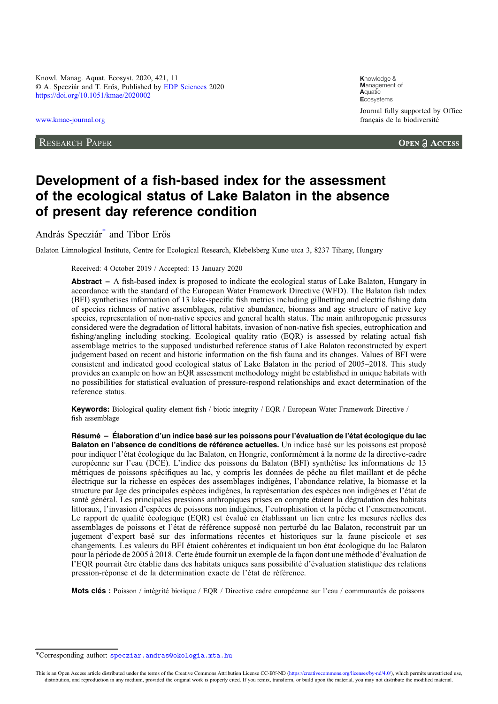Knowl. Manag. Aquat. Ecosyst. 2020, 421, 11 © A. Specziár and T. Erős, Published by [EDP Sciences](https://www.edpsciences.org) 2020 <https://doi.org/10.1051/kmae/2020002>

[www.kmae-journal.org](https://www.kmae-journal.org)

RESEARCH PAPER

**K**nowledge & **M**anagement of **A**quatic **E**cosystems Journal fully supported by Office français de la biodiversité

**OPEN A ACCESS** 

# Development of a fish-based index for the assessment of the ecological status of Lake Balaton in the absence of present day reference condition

András Specziár\* and Tibor Erős

Balaton Limnological Institute, Centre for Ecological Research, Klebelsberg Kuno utca 3, 8237 Tihany, Hungary

Received: 4 October 2019 / Accepted: 13 January 2020

**Abstract** – A fish-based index is proposed to indicate the ecological status of Lake Balaton, Hungary in accordance with the standard of the European Water Framework Directive (WFD). The Balaton fish index (BFI) synthetises information of 13 lake-specific fish metrics including gillnetting and electric fishing data of species richness of native assemblages, relative abundance, biomass and age structure of native key species, representation of non-native species and general health status. The main anthropogenic pressures considered were the degradation of littoral habitats, invasion of non-native fish species, eutrophication and fishing/angling including stocking. Ecological quality ratio (EQR) is assessed by relating actual fish assemblage metrics to the supposed undisturbed reference status of Lake Balaton reconstructed by expert judgement based on recent and historic information on the fish fauna and its changes. Values of BFI were consistent and indicated good ecological status of Lake Balaton in the period of 2005–2018. This study provides an example on how an EQR assessment methodology might be established in unique habitats with no possibilities for statistical evaluation of pressure-respond relationships and exact determination of the reference status.

Keywords: Biological quality element fish / biotic integrity / EQR / European Water Framework Directive / fish assemblage

Résumé – Élaboration d'un indice basé sur les poissons pour l'évaluation de l'état écologique du lac Balaton en l'absence de conditions de référence actuelles. Un indice basé sur les poissons est proposé pour indiquer l'état écologique du lac Balaton, en Hongrie, conformément à la norme de la directive-cadre européenne sur l'eau (DCE). L'indice des poissons du Balaton (BFI) synthétise les informations de 13 métriques de poissons spécifiques au lac, y compris les données de pêche au filet maillant et de pêche électrique sur la richesse en espèces des assemblages indigènes, l'abondance relative, la biomasse et la structure par âge des principales espèces indigènes, la représentation des espèces non indigènes et l'état de santé général. Les principales pressions anthropiques prises en compte étaient la dégradation des habitats littoraux, l'invasion d'espèces de poissons non indigènes, l'eutrophisation et la pêche et l'ensemencement. Le rapport de qualité écologique (EQR) est évalué en établissant un lien entre les mesures réelles des assemblages de poissons et l'état de référence supposé non perturbé du lac Balaton, reconstruit par un jugement d'expert basé sur des informations récentes et historiques sur la faune piscicole et ses changements. Les valeurs du BFI étaient cohérentes et indiquaient un bon état écologique du lac Balaton pour la période de 2005 à 2018. Cette étude fournit un exemple de la façon dont une méthode d'évaluation de l'EQR pourrait être établie dans des habitats uniques sans possibilité d'évaluation statistique des relations pression-réponse et de la détermination exacte de l'état de référence.

Mots clés : Poisson / intégrité biotique / EQR / Directive cadre européenne sur l'eau / communautés de poissons

<sup>\*</sup>Corresponding author: [specziar.andras@okologia.mta.hu](mailto:specziar.andras@okologia.mta.hu)

This is an Open Access article distributed under the terms of the Creative Commons Attribution License CC-BY-ND ([https://creativecommons.org/licenses/by-nd/4.0/\)](https://creativecommons.org/licenses/by-nd/4.0/), which permits unrestricted use, distribution, and reproduction in any medium, provided the original work is properly cited. If you remix, transform, or build upon the material, you may not distribute the modified material.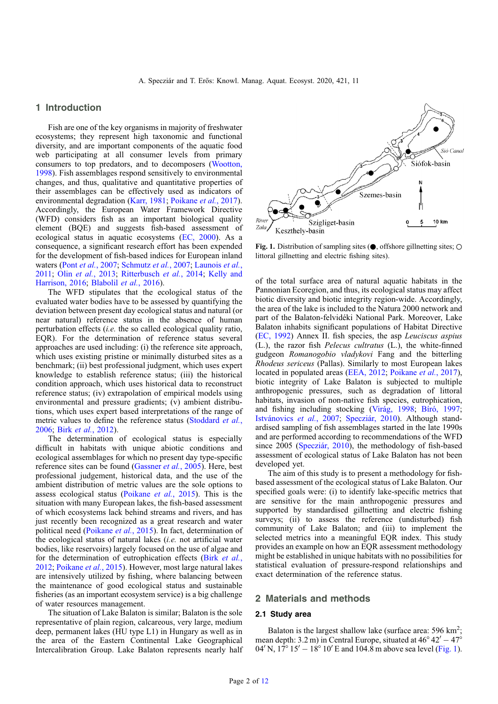# <span id="page-1-0"></span>1 Introduction

Fish are one of the key organisms in majority of freshwater ecosystems; they represent high taxonomic and functional diversity, and are important components of the aquatic food web participating at all consumer levels from primary consumers to top predators, and to decomposers [\(Wootton,](#page-9-0) [1998](#page-9-0)). Fish assemblages respond sensitively to environmental changes, and thus, qualitative and quantitative properties of their assemblages can be effectively used as indicators of environmental degradation ([Karr, 1981;](#page-8-0) [Poikane](#page-8-0) et al., 2017). Accordingly, the European Water Framework Directive (WFD) considers fish as an important biological quality element (BQE) and suggests fish-based assessment of ecological status in aquatic ecosystems ([EC, 2000](#page-8-0)). As a consequence, a significant research effort has been expended for the development of fish-based indices for European inland waters (Pont et al.[, 2007;](#page-8-0) [Schmutz](#page-9-0) et al., 2007; [Launois](#page-8-0) et al., [2011](#page-8-0); Olin et al.[, 2013](#page-8-0); [Ritterbusch](#page-9-0) et al., 2014; [Kelly and](#page-8-0) [Harrison, 2016](#page-8-0); [Blabolil](#page-8-0) et al., 2016).

The WFD stipulates that the ecological status of the evaluated water bodies have to be assessed by quantifying the deviation between present day ecological status and natural (or near natural) reference status in the absence of human perturbation effects (i.e. the so called ecological quality ratio, EQR). For the determination of reference status several approaches are used including: (i) the reference site approach, which uses existing pristine or minimally disturbed sites as a benchmark; (ii) best professional judgment, which uses expert knowledge to establish reference status; (iii) the historical condition approach, which uses historical data to reconstruct reference status; (iv) extrapolation of empirical models using environmental and pressure gradients; (v) ambient distributions, which uses expert based interpretations of the range of metric values to define the reference status ([Stoddard](#page-9-0) et al., [2006](#page-9-0); Birk et al.[, 2012](#page-8-0)).

The determination of ecological status is especially difficult in habitats with unique abiotic conditions and ecological assemblages for which no present day type-specific reference sites can be found ([Gassner](#page-8-0) et al., 2005). Here, best professional judgement, historical data, and the use of the ambient distribution of metric values are the sole options to assess ecological status ([Poikane](#page-8-0) et al., 2015). This is the situation with many European lakes, the fish-based assessment of which ecosystems lack behind streams and rivers, and has just recently been recognized as a great research and water political need ([Poikane](#page-8-0) et al., 2015). In fact, determination of the ecological status of natural lakes (i.e. not artificial water bodies, like reservoirs) largely focused on the use of algae and for the determination of eutrophication effects (Birk [et al.](#page-8-0), [2012](#page-8-0); [Poikane](#page-8-0) et al., 2015). However, most large natural lakes are intensively utilized by fishing, where balancing between the maintenance of good ecological status and sustainable fisheries (as an important ecosystem service) is a big challenge of water resources management.

The situation of Lake Balaton is similar; Balaton is the sole representative of plain region, calcareous, very large, medium deep, permanent lakes (HU type L1) in Hungary as well as in the area of the Eastern Continental Lake Geographical Intercalibration Group. Lake Balaton represents nearly half



Fig. 1. Distribution of sampling sites ( $\bullet$ , offshore gillnetting sites;  $\circ$ littoral gillnetting and electric fishing sites).

of the total surface area of natural aquatic habitats in the Pannonian Ecoregion, and thus, its ecological status may affect biotic diversity and biotic integrity region-wide. Accordingly, the area of the lake is included to the Natura 2000 network and part of the Balaton-felvidéki National Park. Moreover, Lake Balaton inhabits significant populations of Habitat Directive ([EC, 1992\)](#page-8-0) Annex II. fish species, the asp Leuciscus aspius (L.), the razor fish Pelecus cultratus (L.), the white-finned gudgeon Romanogobio vladykovi Fang and the bitterling Rhodeus sericeus (Pallas). Similarly to most European lakes located in populated areas [\(EEA, 2012;](#page-8-0) [Poikane](#page-8-0) *et al.*, 2017), biotic integrity of Lake Balaton is subjected to multiple anthropogenic pressures, such as degradation of littoral habitats, invasion of non-native fish species, eutrophication, and fishing including stocking [\(Virág, 1998](#page-9-0); [Bíró, 1997;](#page-8-0) [Istvánovics](#page-8-0) et al., 2007; [Specziár, 2010\)](#page-9-0). Although standardised sampling of fish assemblages started in the late 1990s and are performed according to recommendations of the WFD since 2005 [\(Specziár, 2010\)](#page-9-0), the methodology of fish-based assessment of ecological status of Lake Balaton has not been developed yet.

The aim of this study is to present a methodology for fishbased assessment of the ecological status of Lake Balaton. Our specified goals were: (i) to identify lake-specific metrics that are sensitive for the main anthropogenic pressures and supported by standardised gillnetting and electric fishing surveys; (ii) to assess the reference (undisturbed) fish community of Lake Balaton; and (iii) to implement the selected metrics into a meaningful EQR index. This study provides an example on how an EQR assessment methodology might be established in unique habitats with no possibilities for statistical evaluation of pressure-respond relationships and exact determination of the reference status.

# 2 Materials and methods

#### 2.1 Study area

Balaton is the largest shallow lake (surface area: 596 km<sup>2</sup>; mean depth: 3.2 m) in Central Europe, situated at  $46^{\circ}42' - 47^{\circ}$ 04' N,  $17^{\circ} 15' - 18^{\circ} 10'$  E and 104.8 m above sea level (Fig. 1).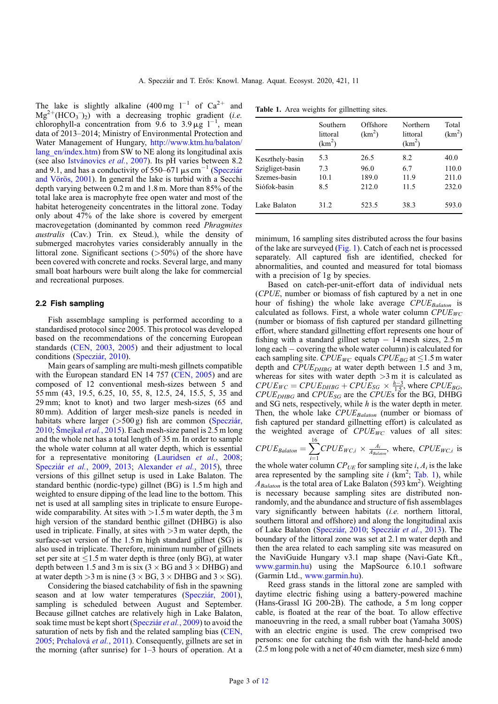The lake is slightly alkaline  $(400 \text{ mg } 1^{-1} \text{ of } \text{Ca}^{2+} \text{ and }$  $Mg^{2+}(HCO_3^-)_2)$  with a decreasing trophic gradient (i.e. chlorophyll-a concentration from 9.6 to 3.9  $\mu$ g l<sup>-1</sup>, mean data of 2013–2014; Ministry of Environmental Protection and Water Management of Hungary, [http://www.ktm.hu/balaton/](http://www.ktm.hu/balaton/lang_en/index.htm) lang en/index.htm) from SW to NE along its longitudinal axis (see also [Istvánovics](#page-8-0) et al., 2007). Its pH varies between 8.2 and 9.1, and has a conductivity of 550–671  $\mu$ s cm<sup>-1</sup> ([Specziár](#page-9-0) [and Vörös, 2001\)](#page-9-0). In general the lake is turbid with a Secchi depth varying between 0.2 m and 1.8 m. More than 85% of the total lake area is macrophyte free open water and most of the habitat heterogeneity concentrates in the littoral zone. Today only about 47% of the lake shore is covered by emergent macrovegetation (dominanted by common reed Phragmites australis (Cav.) Trin. ex Steud.), while the density of submerged macrohytes varies considerably annually in the littoral zone. Significant sections  $($ >50%) of the shore have been covered with concrete and rocks. Several large, and many small boat harbours were built along the lake for commercial and recreational purposes.

### 2.2 Fish sampling

Fish assemblage sampling is performed according to a standardised protocol since 2005. This protocol was developed based on the recommendations of the concerning European standards ([CEN, 2003,](#page-8-0) [2005](#page-8-0)) and their adjustment to local conditions ([Specziár, 2010](#page-9-0)).

Main gears of sampling are multi-mesh gillnets compatible with the European standard EN 14 757 [\(CEN, 2005\)](#page-8-0) and are composed of 12 conventional mesh-sizes between 5 and 55 mm (43, 19.5, 6.25, 10, 55, 8, 12.5, 24, 15.5, 5, 35 and 29 mm; knot to knot) and two larger mesh-sizes (65 and 80 mm). Addition of larger mesh-size panels is needed in habitats where larger  $(>500 \text{ g})$  fish are common [\(Specziár,](#page-9-0) [2010](#page-9-0); Š[mejkal](#page-9-0) et al., 2015). Each mesh-size panel is 2.5 m long and the whole net has a total length of 35 m. In order to sample the whole water column at all water depth, which is essential for a representative monitoring ([Lauridsen](#page-8-0) *et al.*, 2008; [Specziár](#page-9-0) et al., 2009, [2013](#page-9-0); [Alexander](#page-8-0) et al., 2015), three versions of this gillnet setup is used in Lake Balaton. The standard benthic (nordic-type) gillnet (BG) is 1.5 m high and weighted to ensure dipping of the lead line to the bottom. This net is used at all sampling sites in triplicate to ensure Europewide comparability. At sites with  $>1.5$  m water depth, the 3 m high version of the standard benthic gillnet (DHBG) is also used in triplicate. Finally, at sites with  $>3$  m water depth, the surface-set version of the 1.5 m high standard gillnet (SG) is also used in triplicate. Therefore, minimum number of gillnets set per site at  $\leq 1.5$  m water depth is three (only BG), at water depth between 1.5 and 3 m is six  $(3 \times BG$  and 3  $\times$  DHBG) and at water depth  $>3$  m is nine (3  $\times$  BG, 3  $\times$  DHBG and 3  $\times$  SG).

Considering the biased catchability of fish in the spawning season and at low water temperatures [\(Specziár, 2001](#page-9-0)), sampling is scheduled between August and September. Because gillnet catches are relatively high in Lake Balaton, soak time must be kept short [\(Specziár](#page-9-0) et al., 2009) to avoid the saturation of nets by fish and the related sampling bias [\(CEN,](#page-8-0) [2005](#page-8-0); [Prchalová](#page-9-0) et al., 2011). Consequently, gillnets are set in the morning (after sunrise) for 1–3 hours of operation. At a

|  |  | <b>Table 1.</b> Area weights for gillnetting sites. |  |
|--|--|-----------------------------------------------------|--|
|  |  |                                                     |  |

|                 | Southern<br>littoral<br>(km <sup>2</sup> ) | Offshore<br>(km <sup>2</sup> ) | Northern<br>littoral<br>(km <sup>2</sup> ) | Total<br>(km <sup>2</sup> ) |
|-----------------|--------------------------------------------|--------------------------------|--------------------------------------------|-----------------------------|
| Keszthely-basin | 5.3                                        | 26.5                           | 8.2                                        | 40.0                        |
| Szigliget-basin | 7.3                                        | 96.0                           | 6.7                                        | 110.0                       |
| Szemes-basin    | 10.1                                       | 189.0                          | 11.9                                       | 211.0                       |
| Siófok-basin    | 8.5                                        | 212.0                          | 11.5                                       | 232.0                       |
| Lake Balaton    | 31.2                                       | 523.5                          | 38.3                                       | 593.0                       |

minimum, 16 sampling sites distributed across the four basins of the lake are surveyed [\(Fig. 1\)](#page-1-0). Catch of each net is processed separately. All captured fish are identified, checked for abnormalities, and counted and measured for total biomass with a precision of 1g by species.

Based on catch-per-unit-effort data of individual nets (CPUE, number or biomass of fish captured by a net in one hour of fishing) the whole lake average  $CPUE_{Balaton}$  is calculated as follows. First, a whole water column  $CPUE_{WC}$ (number or biomass of fish captured per standard gillnetting effort, where standard gillnetting effort represents one hour of fishing with a standard gillnet setup  $-14$  mesh sizes,  $2.5 \text{ m}$ long each – covering the whole water column) is calculated for each sampling site. CPUE<sub>WC</sub> equals CPUE<sub>BG</sub> at  $\leq$ 1.5 m water depth and  $CPUE<sub>DHBG</sub>$  at water depth between 1.5 and 3 m, whereas for sites with water depth  $>3$  m it is calculated as  $CPUE_{WC} = CPUE_{DHBG} + CPUE_{SG} \times \frac{h-3}{1.5}$ , where  $CPUE_{BG}$  $\text{CPUE}_{DHBG}$  and  $\text{CPUE}_{SG}$  are the CPUEs for the BG, DHBG and SG nets, respectively, while  $h$  is the water depth in meter. Then, the whole lake  $CPUE_{Balaton}$  (number or biomass of fish captured per standard gillnetting effort) is calculated as the weighted average of  $CPUE_{WC}$  values of all sites:

$$
CPUE_{Balaton} = \sum_{i=1}^{16} CPUE_{WC,i} \times \frac{A_i}{A_{Balaton}}, \text{ where, } CPUE_{WC,i} \text{ is}
$$

the whole water column  $CP_{UE}$  for sampling site *i*,  $A_i$  is the lake area represented by the sampling site  $i$  ( $km^2$ ; Tab. 1), while  $A_{Balaton}$  is the total area of Lake Balaton (593 km<sup>2</sup>). Weighting is necessary because sampling sites are distributed nonrandomly, and the abundance and structure of fish assemblages vary significantly between habitats (i.e. northern littoral, southern littoral and offshore) and along the longitudinal axis of Lake Balaton [\(Specziár, 2010;](#page-9-0) [Specziár](#page-9-0) et al., 2013). The boundary of the littoral zone was set at 2.1 m water depth and then the area related to each sampling site was measured on the NaviGuide Hungary v3.1 map shape (Navi-Gate Kft., [www.garmin.hu\)](http://www.garmin.hu) using the MapSource 6.10.1 software (Garmin Ltd., [www.garmin.hu\)](http://www.garmin.hu).

Reed grass stands in the littoral zone are sampled with daytime electric fishing using a battery-powered machine (Hans-Grassl IG 200-2B). The cathode, a 5 m long copper cable, is floated at the rear of the boat. To allow effective manoeuvring in the reed, a small rubber boat (Yamaha 300S) with an electric engine is used. The crew comprised two persons: one for catching the fish with the hand-held anode (2.5 m long pole with a net of 40 cm diameter, mesh size 6 mm)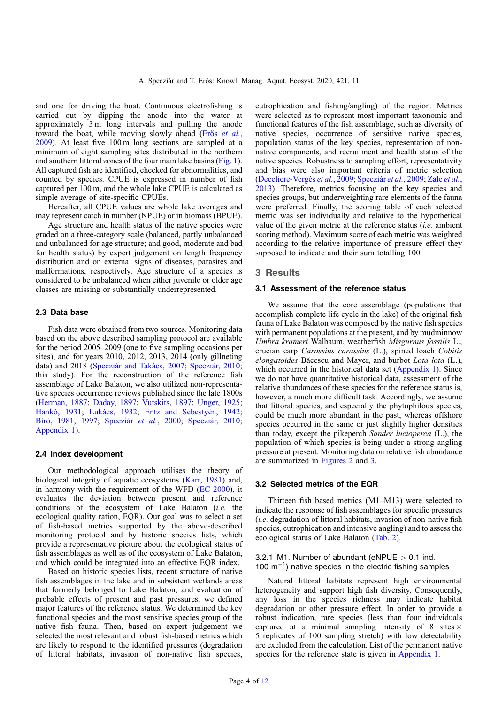and one for driving the boat. Continuous electrofishing is carried out by dipping the anode into the water at approximately 3 m long intervals and pulling the anode toward the boat, while moving slowly ahead (Erős [et al.](#page-8-0), [2009](#page-8-0)). At least five 100 m long sections are sampled at a minimum of eight sampling sites distributed in the northern and southern littoral zones of the four main lake basins [\(Fig. 1](#page-1-0)). All captured fish are identified, checked for abnormalities, and counted by species. CPUE is expressed in number of fish captured per 100 m, and the whole lake CPUE is calculated as simple average of site-specific CPUEs.

Hereafter, all CPUE values are whole lake averages and may represent catch in number (NPUE) or in biomass (BPUE).

Age structure and health status of the native species were graded on a three-category scale (balanced, partly unbalanced and unbalanced for age structure; and good, moderate and bad for health status) by expert judgement on length frequency distribution and on external signs of diseases, parasites and malformations, respectively. Age structure of a species is considered to be unbalanced when either juvenile or older age classes are missing or substantially underrepresented.

### 2.3 Data base

Fish data were obtained from two sources. Monitoring data based on the above described sampling protocol are available for the period 2005–2009 (one to five sampling occasions per sites), and for years 2010, 2012, 2013, 2014 (only gillneting data) and 2018 ([Specziár and Takács, 2007;](#page-9-0) [Specziár, 2010](#page-9-0); this study). For the reconstruction of the reference fish assemblage of Lake Balaton, we also utilized non-representative species occurrence reviews published since the late 1800s ([Herman, 1887](#page-8-0); [Daday, 1897](#page-8-0); [Vutskits, 1897](#page-9-0); [Unger, 1925](#page-9-0); [Hankó, 1931;](#page-8-0) [Lukács, 1932](#page-8-0); [Entz and Sebestyén, 1942](#page-8-0); [Bíró, 1981](#page-8-0), [1997;](#page-8-0) [Specziár](#page-9-0) et al., 2000; [Specziár, 2010](#page-9-0); [Appendix 1](#page-10-0)).

### 2.4 Index development

Our methodological approach utilises the theory of biological integrity of aquatic ecosystems [\(Karr, 1981\)](#page-8-0) and, in harmony with the requirement of the WFD ([EC 2000\)](#page-8-0), it evaluates the deviation between present and reference conditions of the ecosystem of Lake Balaton (i.e. the ecological quality ration, EQR). Our goal was to select a set of fish-based metrics supported by the above-described monitoring protocol and by historic species lists, which provide a representative picture about the ecological status of fish assemblages as well as of the ecosystem of Lake Balaton, and which could be integrated into an effective EQR index.

Based on historic species lists, recent structure of native fish assemblages in the lake and in subsistent wetlands areas that formerly belonged to Lake Balaton, and evaluation of probable effects of present and past pressures, we defined major features of the reference status. We determined the key functional species and the most sensitive species group of the native fish fauna. Then, based on expert judgement we selected the most relevant and robust fish-based metrics which are likely to respond to the identified pressures (degradation of littoral habitats, invasion of non-native fish species,

eutrophication and fishing/angling) of the region. Metrics were selected as to represent most important taxonomic and functional features of the fish assemblage, such as diversity of native species, occurrence of sensitive native species, population status of the key species, representation of nonnative components, and recruitment and health status of the native species. Robustness to sampling effort, representativity and bias were also important criteria of metric selection ([Deceliere-Vergés](#page-8-0) et al., 2009; [Specziár](#page-9-0) et al., 2009; Zale [et al.](#page-9-0), [2013](#page-9-0)). Therefore, metrics focusing on the key species and species groups, but underweighting rare elements of the fauna were preferred. Finally, the scoring table of each selected metric was set individually and relative to the hypothetical value of the given metric at the reference status (i.e. ambient scoring method). Maximum score of each metric was weighted according to the relative importance of pressure effect they supposed to indicate and their sum totalling 100.

### 3 Results

#### 3.1 Assessment of the reference status

We assume that the core assemblage (populations that accomplish complete life cycle in the lake) of the original fish fauna of Lake Balaton was composed by the native fish species with permanent populations at the present, and by mudminnow Umbra krameri Walbaum, weatherfish Misgurnus fossilis L., crucian carp Carassius carassius (L.), spined loach Cobitis elongatoides Băcescu and Mayer, and burbot Lota lota (L.), which occurred in the historical data set [\(Appendix 1\)](#page-10-0). Since we do not have quantitative historical data, assessment of the relative abundances of these species for the reference status is, however, a much more difficult task. Accordingly, we assume that littoral species, and especially the phytophilous species, could be much more abundant in the past, whereas offshore species occurred in the same or just slightly higher densities than today, except the pikeperch Sander lucioperca (L.), the population of which species is being under a strong angling pressure at present. Monitoring data on relative fish abundance are summarized in [Figures 2](#page-4-0) and [3](#page-4-0).

#### 3.2 Selected metrics of the EQR

Thirteen fish based metrics (M1–M13) were selected to indicate the response of fish assemblages for specific pressures  $(i.e.$  degradation of littoral habitats, invasion of non-native fish species, eutrophication and intensive angling) and to assess the ecological status of Lake Balaton [\(Tab. 2\)](#page-5-0).

3.2.1 M1. Number of abundant (eNPUE  $> 0.1$  ind.  $100 \text{ m}^{-1}$ ) native species in the electric fishing samples

Natural littoral habitats represent high environmental heterogeneity and support high fish diversity. Consequently, any loss in the species richness may indicate habitat degradation or other pressure effect. In order to provide a robust indication, rare species (less than four individuals captured at a minimal sampling intensity of 8 sites  $\times$ 5 replicates of 100 sampling stretch) with low detectability are excluded from the calculation. List of the permanent native species for the reference state is given in [Appendix 1.](#page-10-0)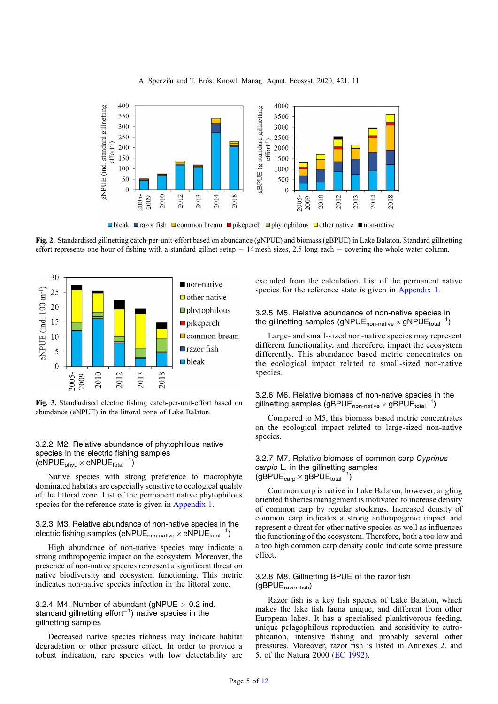<span id="page-4-0"></span>

**Obleak T**razor fish **C** common bream **P** pikeperch **C** phytophilous **C** other native **P** non-native

Fig. 2. Standardised gillnetting catch-per-unit-effort based on abundance (gNPUE) and biomass (gBPUE) in Lake Balaton. Standard gillnetting effort represents one hour of fishing with a standard gillnet setup  $-14$  mesh sizes, 2.5 long each  $-$  covering the whole water column.



Fig. 3. Standardised electric fishing catch-per-unit-effort based on abundance (eNPUE) in the littoral zone of Lake Balaton.

# 3.2.2 M2. Relative abundance of phytophilous native species in the electric fishing samples  $(\mathsf{eNPUE}_{\mathsf{phyt.}} \times \mathsf{eNPUE}_{\mathsf{total}}{}^{-1})$

Native species with strong preference to macrophyte dominated habitats are especially sensitive to ecological quality of the littoral zone. List of the permanent native phytophilous species for the reference state is given in [Appendix 1.](#page-10-0)

# 3.2.3 M3. Relative abundance of non-native species in the electric fishing samples (eNPUE $_{\sf non\text{-}native} \times \sf{eNPUE}_{\sf{total}}{}^{-1})$

High abundance of non-native species may indicate a strong anthropogenic impact on the ecosystem. Moreover, the presence of non-native species represent a significant threat on native biodiversity and ecosystem functioning. This metric indicates non-native species infection in the littoral zone.

# 3.2.4 M4. Number of abundant (gNPUE  $> 0.2$  ind. standard gillnetting effort $^{-1}$ ) native species in the gillnetting samples

Decreased native species richness may indicate habitat degradation or other pressure effect. In order to provide a robust indication, rare species with low detectability are excluded from the calculation. List of the permanent native species for the reference state is given in [Appendix 1.](#page-10-0)

# 3.2.5 M5. Relative abundance of non-native species in the gillnetting samples (gNPUE<sub>non-native</sub>  $\times$  gNPUE<sub>total</sub><sup>-1</sup>)

Large- and small-sized non-native species may represent different functionality, and therefore, impact the ecosystem differently. This abundance based metric concentrates on the ecological impact related to small-sized non-native species.

3.2.6 M6. Relative biomass of non-native species in the gillnetting samples (gBPUE<sub>non-native</sub>  $\times$  gBPUE<sub>total</sub><sup>-1</sup>)

Compared to M5, this biomass based metric concentrates on the ecological impact related to large-sized non-native species.

3.2.7 M7. Relative biomass of common carp Cyprinus carpio L. in the gillnetting samples  $(gBPUE_{\text{carp}} \times gBPUE_{\text{total}}^{-1})$ 1 )

Common carp is native in Lake Balaton, however, angling oriented fisheries management is motivated to increase density of common carp by regular stockings. Increased density of common carp indicates a strong anthropogenic impact and represent a threat for other native species as well as influences the functioning of the ecosystem. Therefore, both a too low and a too high common carp density could indicate some pressure effect.

### 3.2.8 M8. Gillnetting BPUE of the razor fish (gBPUErazor fish)

Razor fish is a key fish species of Lake Balaton, which makes the lake fish fauna unique, and different from other European lakes. It has a specialised planktivorous feeding, unique pelagophilous reproduction, and sensitivity to eutrophication, intensive fishing and probably several other pressures. Moreover, razor fish is listed in Annexes 2. and 5. of the Natura 2000 [\(EC 1992](#page-8-0)).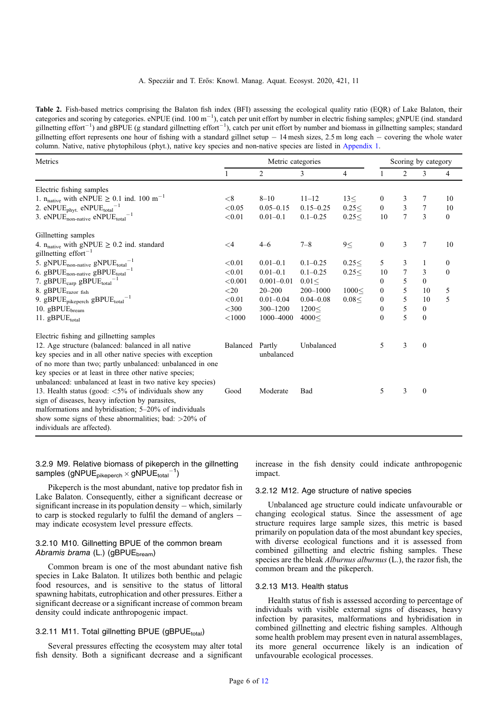#### A. Specziár and T. Erős: Knowl. Manag. Aquat. Ecosyst. 2020, 421, 11

<span id="page-5-0"></span>Table 2. Fish-based metrics comprising the Balaton fish index (BFI) assessing the ecological quality ratio (EQR) of Lake Balaton, their categories and scoring by categories. eNPUE (ind. 100 m<sup>-1</sup>), catch per unit effort by number in electric fishing samples; gNPUE (ind. standard gillnetting effort<sup>-1</sup>) and gBPUE (g standard gillnetting effort<sup>-1</sup>), catch per unit effort by number and biomass in gillnetting samples; standard gillnetting effort represents one hour of fishing with a standard gillnet setup – 14 mesh sizes, 2.5 m long each – covering the whole water column. Native, native phytophilous (phyt.), native key species and non-native species are listed in [Appendix 1.](#page-10-0)

| Metrics                                                                                                                 |                 | Metric categories |               |             |                  |                | Scoring by category |                |
|-------------------------------------------------------------------------------------------------------------------------|-----------------|-------------------|---------------|-------------|------------------|----------------|---------------------|----------------|
|                                                                                                                         |                 | 2                 | 3             | 4           |                  | 2              | 3                   | 4              |
| Electric fishing samples                                                                                                |                 |                   |               |             |                  |                |                     |                |
| 1. $n_{\text{native}}$ with eNPUE $\geq 0.1$ ind. 100 m <sup>-1</sup>                                                   | < 8             | $8 - 10$          | $11 - 12$     | 13<         | $\mathbf{0}$     | 3              | 7                   | 10             |
| 2. eNPU $E_{\text{phyt.}}$ eNPU $E_{\text{total}}^{-1}$                                                                 | < 0.05          | $0.05 - 0.15$     | $0.15 - 0.25$ | 0.25<       | $\theta$         | 3              | 7                   | 10             |
| 3. eNPUE <sub>non-native</sub> eNPUE <sub>total</sub> <sup>-1</sup>                                                     | < 0.01          | $0.01 - 0.1$      | $0.1 - 0.25$  | 0.25<       | 10               | $\overline{7}$ | 3                   | $\overline{0}$ |
| Gillnetting samples                                                                                                     |                 |                   |               |             |                  |                |                     |                |
| 4. $n_{\text{native}}$ with gNPUE $\geq$ 0.2 ind. standard<br>gillnetting effort $^{-1}$                                | $\leq 4$        | $4 - 6$           | $7 - 8$       | $9\leq$     | $\boldsymbol{0}$ | 3              | $\tau$              | 10             |
| 5. $gNPUE$ <sub>non-native</sub> $gNPUE$ <sub>total</sub> <sup>-1</sup>                                                 | ${<}0.01$       | $0.01 - 0.1$      | $0.1 - 0.25$  | $0.25 \leq$ | 5                | 3              | 1                   | $\mathbf{0}$   |
| 6. gBPUE <sub>non-native</sub> gBPUE <sub>total</sub>                                                                   | < 0.01          | $0.01 - 0.1$      | $0.1 - 0.25$  | 0.25<       | 10               | $\overline{7}$ | 3                   | $\mathbf{0}$   |
| 7. gBPU $E_{\text{carp}}$ gBPU $E_{\text{total}}^{-1}$                                                                  | < 0.001         | $0.001 - 0.01$    | 0.01<         |             | $\mathbf{0}$     | 5              | $\mathbf{0}$        |                |
| 8. gBPUE <sub>razor</sub> fish                                                                                          | $<$ 20          | $20 - 200$        | $200 - 1000$  | 1000<       | $\mathbf{0}$     | 5              | 10                  | 5              |
| 9. gBPUE <sub>pikeperch</sub> gBPUE <sub>total</sub> <sup>-1</sup>                                                      | < 0.01          | $0.01 - 0.04$     | $0.04 - 0.08$ | 0.08<       | $\mathbf{0}$     | 5              | 10                  | 5              |
| 10. $gBPUE_{bream}$                                                                                                     | $<$ 300         | $300 - 1200$      | 1200<         |             | $\theta$         | 5              | $\bf{0}$            |                |
| 11. gBPUE <sub>total</sub>                                                                                              | $<$ 1000        | 1000-4000         | 4000<         |             | $\mathbf{0}$     | 5              | $\boldsymbol{0}$    |                |
| Electric fishing and gillnetting samples                                                                                |                 |                   |               |             |                  |                |                     |                |
| 12. Age structure (balanced: balanced in all native                                                                     | Balanced Partly | unbalanced        | Unbalanced    |             | 5                | 3              | $\mathbf{0}$        |                |
| key species and in all other native species with exception<br>of no more than two; partly unbalanced: unbalanced in one |                 |                   |               |             |                  |                |                     |                |
| key species or at least in three other native species;                                                                  |                 |                   |               |             |                  |                |                     |                |
| unbalanced: unbalanced at least in two native key species)                                                              |                 |                   |               |             |                  |                |                     |                |
| 13. Health status (good: $\langle 5\%$ of individuals show any                                                          | Good            | Moderate          | Bad           |             | 5                | 3              | $\boldsymbol{0}$    |                |
| sign of diseases, heavy infection by parasites,                                                                         |                 |                   |               |             |                  |                |                     |                |
| malformations and hybridisation; 5-20% of individuals                                                                   |                 |                   |               |             |                  |                |                     |                |
| show some signs of these abnormalities; bad: >20% of                                                                    |                 |                   |               |             |                  |                |                     |                |
| individuals are affected).                                                                                              |                 |                   |               |             |                  |                |                     |                |

# 3.2.9 M9. Relative biomass of pikeperch in the gillnetting samples  $(\mathsf{gNPUE}_{\mathsf{pikeperch}} \times \mathsf{gNPUE}_{\mathsf{total}}{}^{-1})$

Pikeperch is the most abundant, native top predator fish in Lake Balaton. Consequently, either a significant decrease or significant increase in its population density - which, similarly to carp is stocked regularly to fulfil the demand of anglers may indicate ecosystem level pressure effects.

# 3.2.10 M10. Gillnetting BPUE of the common bream Abramis brama (L.) ( $gBPUE<sub>bream</sub>$ )

Common bream is one of the most abundant native fish species in Lake Balaton. It utilizes both benthic and pelagic food resources, and is sensitive to the status of littoral spawning habitats, eutrophication and other pressures. Either a significant decrease or a significant increase of common bream density could indicate anthropogenic impact.

# 3.2.11 M11. Total gillnetting BPUE (gBPUE<sub>total</sub>)

Several pressures effecting the ecosystem may alter total fish density. Both a significant decrease and a significant increase in the fish density could indicate anthropogenic impact.

# 3.2.12 M12. Age structure of native species

Unbalanced age structure could indicate unfavourable or changing ecological status. Since the assessment of age structure requires large sample sizes, this metric is based primarily on population data of the most abundant key species, with diverse ecological functions and it is assessed from combined gillnetting and electric fishing samples. These species are the bleak Alburnus alburnus (L.), the razor fish, the common bream and the pikeperch.

#### 3.2.13 M13. Health status

Health status of fish is assessed according to percentage of individuals with visible external signs of diseases, heavy infection by parasites, malformations and hybridisation in combined gillnetting and electric fishing samples. Although some health problem may present even in natural assemblages, its more general occurrence likely is an indication of unfavourable ecological processes.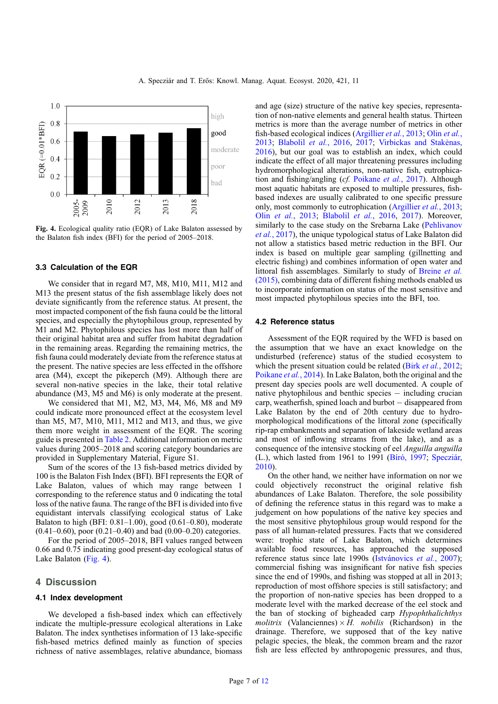

Fig. 4. Ecological quality ratio (EQR) of Lake Balaton assessed by the Balaton fish index (BFI) for the period of 2005–2018.

### 3.3 Calculation of the EQR

We consider that in regard M7, M8, M10, M11, M12 and M13 the present status of the fish assemblage likely does not deviate significantly from the reference status. At present, the most impacted component of the fish fauna could be the littoral species, and especially the phytophilous group, represented by M1 and M2. Phytophilous species has lost more than half of their original habitat area and suffer from habitat degradation in the remaining areas. Regarding the remaining metrics, the fish fauna could moderately deviate from the reference status at the present. The native species are less effected in the offshore area (M4), except the pikeperch (M9). Although there are several non-native species in the lake, their total relative abundance (M3, M5 and M6) is only moderate at the present.

We considered that M1, M2, M3, M4, M6, M8 and M9 could indicate more pronounced effect at the ecosystem level than M5, M7, M10, M11, M12 and M13, and thus, we give them more weight in assessment of the EQR. The scoring guide is presented in [Table 2](#page-5-0). Additional information on metric values during 2005–2018 and scoring category boundaries are provided in Supplementary Material, Figure S1.

Sum of the scores of the 13 fish-based metrics divided by 100 is the Balaton Fish Index (BFI). BFI represents the EQR of Lake Balaton, values of which may range between 1 corresponding to the reference status and 0 indicating the total loss of the native fauna. The range of the BFI is divided into five equidistant intervals classifying ecological status of Lake Balaton to high (BFI: 0.81–1.00), good (0.61–0.80), moderate  $(0.41-0.60)$ , poor  $(0.21-0.40)$  and bad  $(0.00-0.20)$  categories.

For the period of 2005–2018, BFI values ranged between 0.66 and 0.75 indicating good present-day ecological status of Lake Balaton (Fig. 4).

# 4 Discussion

# 4.1 Index development

We developed a fish-based index which can effectively indicate the multiple-pressure ecological alterations in Lake Balaton. The index synthetises information of 13 lake-specific fish-based metrics defined mainly as function of species richness of native assemblages, relative abundance, biomass and age (size) structure of the native key species, representation of non-native elements and general health status. Thirteen metrics is more than the average number of metrics in other fish-based ecological indices [\(Argillier](#page-8-0) et al., 2013; Olin [et al.](#page-8-0), [2013](#page-8-0); [Blabolil](#page-8-0) et al., 2016, [2017;](#page-8-0) [Virbickas and Stak](#page-9-0)ėnas, [2016](#page-9-0)), but our goal was to establish an index, which could indicate the effect of all major threatening pressures including hydromorphological alterations, non-native fish, eutrophication and fishing/angling (cf. [Poikane](#page-8-0) et al., 2017). Although most aquatic habitats are exposed to multiple pressures, fishbased indexes are usually calibrated to one specific pressure only, most commonly to eutrophication ([Argillier](#page-8-0) et al., 2013; Olin et al.[, 2013](#page-8-0); [Blabolil](#page-8-0) et al., 2016, [2017](#page-8-0)). Moreover, similarly to the case study on the Srebarna Lake ([Pehlivanov](#page-8-0) et al.[, 2017\)](#page-8-0), the unique typological status of Lake Balaton did not allow a statistics based metric reduction in the BFI. Our index is based on multiple gear sampling (gillnetting and electric fishing) and combines information of open water and littoral fish assemblages. Similarly to study of [Breine](#page-8-0) et al. [\(2015\),](#page-8-0) combining data of different fishing methods enabled us to incorporate information on status of the most sensitive and most impacted phytophilous species into the BFI, too.

#### 4.2 Reference status

Assessment of the EQR required by the WFD is based on the assumption that we have an exact knowledge on the undisturbed (reference) status of the studied ecosystem to which the present situation could be related (Birk *et al.*[, 2012;](#page-8-0) [Poikane](#page-8-0) et al., 2014). In Lake Balaton, both the original and the present day species pools are well documented. A couple of native phytophilous and benthic species - including crucian  $c$ carp, weatherfish, spined loach and burbot  $-$  disappeared from Lake Balaton by the end of 20th century due to hydromorphological modifications of the littoral zone (specifically rip-rap embankments and separation of lakeside wetland areas and most of inflowing streams from the lake), and as a consequence of the intensive stocking of eel Anguilla anguilla (L.), which lasted from 1961 to 1991 [\(Bíró, 1997;](#page-8-0) [Specziár,](#page-9-0) [2010](#page-9-0)).

On the other hand, we neither have information on nor we could objectively reconstruct the original relative fish abundances of Lake Balaton. Therefore, the sole possibility of defining the reference status in this regard was to make a judgement on how populations of the native key species and the most sensitive phytophilous group would respond for the pass of all human-related pressures. Facts that we considered were: trophic state of Lake Balaton, which determines available food resources, has approached the supposed reference status since late 1990s ([Istvánovics](#page-8-0) *et al.*, 2007); commercial fishing was insignificant for native fish species since the end of 1990s, and fishing was stopped at all in 2013; reproduction of most offshore species is still satisfactory; and the proportion of non-native species has been dropped to a moderate level with the marked decrease of the eel stock and the ban of stocking of bigheaded carp Hypophthalichthys molitrix (Valanciennes)  $\times$  H. nobilis (Richardson) in the drainage. Therefore, we supposed that of the key native pelagic species, the bleak, the common bream and the razor fish are less effected by anthropogenic pressures, and thus,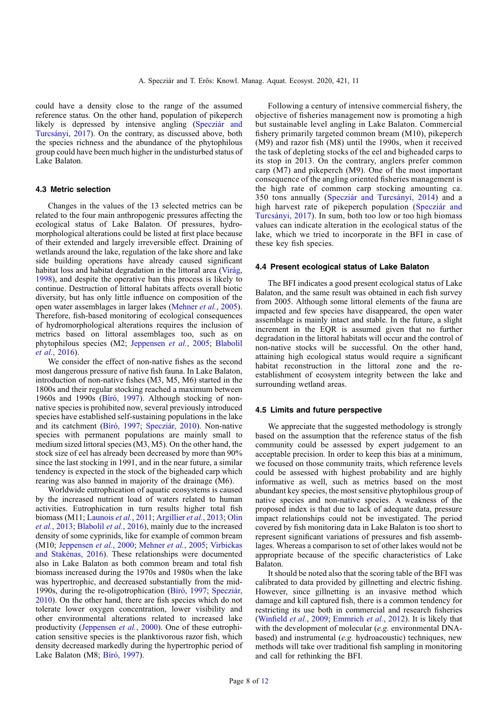could have a density close to the range of the assumed reference status. On the other hand, population of pikeperch likely is depressed by intensive angling ([Specziár and](#page-9-0) [Turcsányi, 2017](#page-9-0)). On the contrary, as discussed above, both the species richness and the abundance of the phytophilous group could have been much higher in the undisturbed status of Lake Balaton.

#### 4.3 Metric selection

Changes in the values of the 13 selected metrics can be related to the four main anthropogenic pressures affecting the ecological status of Lake Balaton. Of pressures, hydromorphological alterations could be listed at first place because of their extended and largely irreversible effect. Draining of wetlands around the lake, regulation of the lake shore and lake side building operations have already caused significant habitat loss and habitat degradation in the littoral area [\(Virág,](#page-9-0) [1998](#page-9-0)), and despite the operative ban this process is likely to continue. Destruction of littoral habitats affects overall biotic diversity, but has only little influence on composition of the open water assemblages in larger lakes [\(Mehner](#page-8-0) et al., 2005). Therefore, fish-based monitoring of ecological consequences of hydromorphological alterations requires the inclusion of metrics based on littoral assemblages too, such as on phytophilous species (M2; [Jeppensen](#page-8-0) et al., 2005; [Blabolil](#page-8-0) et al.[, 2016](#page-8-0)).

We consider the effect of non-native fishes as the second most dangerous pressure of native fish fauna. In Lake Balaton, introduction of non-native fishes (M3, M5, M6) started in the 1800s and their regular stocking reached a maximum between 1960s and 1990s [\(Bíró, 1997](#page-8-0)). Although stocking of nonnative species is prohibited now, several previously introduced species have established self-sustaining populations in the lake and its catchment [\(Bíró, 1997](#page-8-0); [Specziár, 2010](#page-9-0)). Non-native species with permanent populations are mainly small to medium sized littoral species (M3, M5). On the other hand, the stock size of eel has already been decreased by more than 90% since the last stocking in 1991, and in the near future, a similar tendency is expected in the stock of the bigheaded carp which rearing was also banned in majority of the drainage (M6).

Worldwide eutrophication of aquatic ecosystems is caused by the increased nutrient load of waters related to human activities. Eutrophication in turn results higher total fish biomass (M11; [Launois](#page-8-0) et al., 2011; [Argillier](#page-8-0) et al., 2013; [Olin](#page-8-0) et al.[, 2013](#page-8-0); [Blabolil](#page-8-0) et al., 2016), mainly due to the increased density of some cyprinids, like for example of common bream (M10; [Jeppensen](#page-8-0) et al., 2000; [Mehner](#page-8-0) et al., 2005; [Virbickas](#page-9-0) and Stakė[nas, 2016\)](#page-9-0). These relationships were documented also in Lake Balaton as both common bream and total fish biomass increased during the 1970s and 1980s when the lake was hypertrophic, and decreased substantially from the mid-1990s, during the re-oligotrophication ([Bíró, 1997](#page-8-0); [Specziár,](#page-9-0) [2010](#page-9-0)). On the other hand, there are fish species which do not tolerate lower oxygen concentration, lower visibility and other environmental alterations related to increased lake productivity ([Jeppensen](#page-8-0) et al., 2000). One of these eutrophication sensitive species is the planktivorous razor fish, which density decreased markedly during the hypertrophic period of Lake Balaton (M8; [Bíró, 1997\)](#page-8-0).

Following a century of intensive commercial fishery, the objective of fisheries management now is promoting a high but sustainable level angling in Lake Balaton. Commercial fishery primarily targeted common bream (M10), pikeperch (M9) and razor fish (M8) until the 1990s, when it received the task of depleting stocks of the eel and bigheaded carps to its stop in 2013. On the contrary, anglers prefer common carp (M7) and pikeperch (M9). One of the most important consequence of the angling oriented fisheries management is the high rate of common carp stocking amounting ca. 350 tons annually ([Specziár and Turcsányi, 2014](#page-9-0)) and a high harvest rate of pikeperch population [\(Specziár and](#page-9-0) [Turcsányi, 2017](#page-9-0)). In sum, both too low or too high biomass values can indicate alteration in the ecological status of the lake, which we tried to incorporate in the BFI in case of these key fish species.

#### 4.4 Present ecological status of Lake Balaton

The BFI indicates a good present ecological status of Lake Balaton, and the same result was obtained in each fish survey from 2005. Although some littoral elements of the fauna are impacted and few species have disappeared, the open water assemblage is mainly intact and stable. In the future, a slight increment in the EQR is assumed given that no further degradation in the littoral habitats will occur and the control of non-native stocks will be successful. On the other hand, attaining high ecological status would require a significant habitat reconstruction in the littoral zone and the reestablishment of ecosystem integrity between the lake and surrounding wetland areas.

#### 4.5 Limits and future perspective

We appreciate that the suggested methodology is strongly based on the assumption that the reference status of the fish community could be assessed by expert judgement to an acceptable precision. In order to keep this bias at a minimum, we focused on those community traits, which reference levels could be assessed with highest probability and are highly informative as well, such as metrics based on the most abundant key species, the most sensitive phytophilous group of native species and non-native species. A weakness of the proposed index is that due to lack of adequate data, pressure impact relationships could not be investigated. The period covered by fish monitoring data in Lake Balaton is too short to represent significant variations of pressures and fish assemblages. Whereas a comparison to set of other lakes would not be appropriate because of the specific characteristics of Lake Balaton.

It should be noted also that the scoring table of the BFI was calibrated to data provided by gillnetting and electric fishing. However, since gillnetting is an invasive method which damage and kill captured fish, there is a common tendency for restricting its use both in commercial and research fisheries (Winfield et al.[, 2009](#page-9-0); [Emmrich](#page-8-0) et al., 2012). It is likely that with the development of molecular (e.g. environmental DNAbased) and instrumental (e.g. hydroacoustic) techniques, new methods will take over traditional fish sampling in monitoring and call for rethinking the BFI.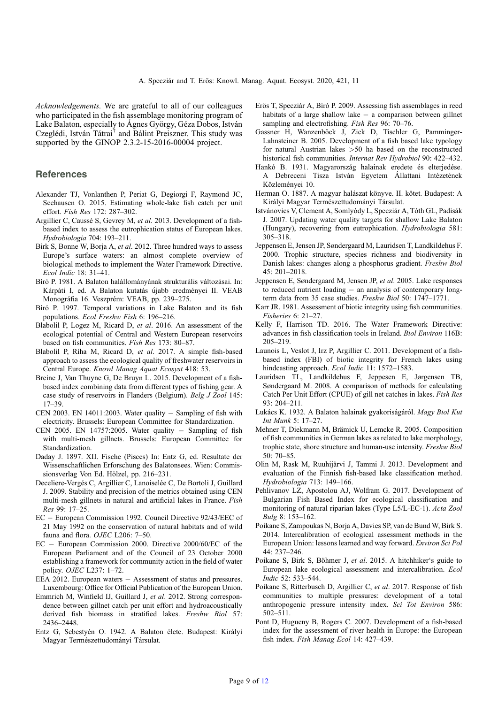<span id="page-8-0"></span>Acknowledgements. We are grateful to all of our colleagues who participated in the fish assemblage monitoring program of Lake Balaton, especially to Ágnes György, Géza Dobos, István Czeglédi, István Tátrai† and Bálint Preiszner. This study was supported by the GINOP 2.3.2-15-2016-00004 project.

### References

- Alexander TJ, Vonlanthen P, Periat G, Degiorgi F, Raymond JC, Seehausen O. 2015. Estimating whole-lake fish catch per unit effort. Fish Res 172: 287–302.
- Argillier C, Caussé S, Gevrey M, et al. 2013. Development of a fishbased index to assess the eutrophication status of European lakes. Hydrobiologia 704: 193–211.
- Birk S, Bonne W, Boria A, et al. 2012. Three hundred ways to assess Europe's surface waters: an almost complete overview of biological methods to implement the Water Framework Directive. Ecol Indic 18: 31–41.
- Bíró P. 1981. A Balaton halállományának strukturális változásai. In: Kárpáti I, ed. A Balaton kutatás ujabb eredményei II. VEAB Monográfia 16. Veszprém: VEAB, pp. 239–275.
- Bíró P. 1997. Temporal variations in Lake Balaton and its fish populations. Ecol Freshw Fish 6: 196–216.
- Blabolil P, Logez M, Ricard D, et al. 2016. An assessment of the ecological potential of Central and Western European reservoirs based on fish communities. Fish Res 173: 80–87.
- Blabolil P, Ríha M, Ricard D, et al. 2017. A simple fish-based approach to assess the ecological quality of freshwater reservoirs in Central Europe. Knowl Manag Aquat Ecosyst 418: 53.
- Breine J, Van Thuyne G, De Bruyn L. 2015. Development of a fishbased index combining data from different types of fishing gear. A case study of reservoirs in Flanders (Belgium). Belg J Zool 145: 17–39.
- CEN 2003. EN 14011:2003. Water quality  $-$  Sampling of fish with electricity. Brussels: European Committee for Standardization.
- CEN 2005. EN 14757:2005. Water quality  $-$  Sampling of fish with multi-mesh gillnets. Brussels: European Committee for Standardization.
- Daday J. 1897. XII. Fische (Pisces) In: Entz G, ed. Resultate der Wissenschaftlichen Erforschung des Balatonsees. Wien: Commissionsverlag Von Ed. Hölzel, pp. 216–231.
- Deceliere-Vergés C, Argillier C, Lanoiselée C, De Bortoli J, Guillard J. 2009. Stability and precision of the metrics obtained using CEN multi-mesh gillnets in natural and artificial lakes in France. Fish Res 99: 17–25.
- EC European Commission 1992. Council Directive 92/43/EEC of 21 May 1992 on the conservation of natural habitats and of wild fauna and flora. OJEC L206: 7–50.
- EC European Commission 2000. Directive 2000/60/EC of the European Parliament and of the Council of 23 October 2000 establishing a framework for community action in the field of water policy. OJEC L237: 1–72.
- EEA 2012. European waters Assessment of status and pressures. Luxembourg: Office for Official Publication of the European Union.
- Emmrich M, Winfield IJ, Guillard J, et al. 2012. Strong correspondence between gillnet catch per unit effort and hydroacoustically derived fish biomass in stratified lakes. Freshw Biol 57: 2436–2448.
- Entz G, Sebestyén O. 1942. A Balaton élete. Budapest: Királyi Magyar Természettudományi Társulat.
- Erős T, Specziár A, Bíró P. 2009. Assessing fish assemblages in reed habitats of a large shallow lake  $-$  a comparison between gillnet sampling and electrofishing. Fish Res 96: 70–76.
- Gassner H, Wanzenböck J, Zick D, Tischler G, Pamminger-Lahnsteiner B. 2005. Development of a fish based lake typology for natural Austrian lakes >50 ha based on the reconstructed historical fish communities. Internat Rev Hydrobiol 90: 422–432.
- Hankó B. 1931. Magyarország halainak eredete és elterjedése. A Debreceni Tisza István Egyetem Állattani Intézetének Közleményei 10.
- Herman O. 1887. A magyar halászat könyve. II. kötet. Budapest: A Királyi Magyar Természettudományi Társulat.
- Istvánovics V, Clement A, Somlyódy L, Specziár A, Tóth GL, Padisák J. 2007. Updating water quality targets for shallow Lake Balaton (Hungary), recovering from eutrophication. Hydrobiologia 581: 305–318.
- Jeppensen E, Jensen JP, Søndergaard M, Lauridsen T, Landkildehus F. 2000. Trophic structure, species richness and biodiversity in Danish lakes: changes along a phosphorus gradient. Freshw Biol 45: 201–2018.
- Jeppensen E, Søndergaard M, Jensen JP, et al. 2005. Lake responses to reduced nutrient loading - an analysis of contemporary longterm data from 35 case studies. Freshw Biol 50: 1747–1771.
- Karr JR. 1981. Assessment of biotic integrity using fish communities. Fisheries 6: 21–27.
- Kelly F, Harrison TD. 2016. The Water Framework Directive: advances in fish classification tools in Ireland. Biol Environ 116B: 205–219.
- Launois L, Veslot J, Irz P, Argillier C. 2011. Development of a fishbased index (FBI) of biotic integrity for French lakes using hindcasting approach. Ecol Indic 11: 1572-1583.
- Lauridsen TL, Landkildehus F, Jeppesen E, Jørgensen TB, Søndergaard M. 2008. A comparison of methods for calculating Catch Per Unit Effort (CPUE) of gill net catches in lakes. Fish Res 93: 204–211.
- Lukács K. 1932. A Balaton halainak gyakoriságáról. Magy Biol Kut Int Munk 5: 17–27.
- Mehner T, Diekmann M, Brämick U, Lemcke R. 2005. Composition of fish communities in German lakes as related to lake morphology, trophic state, shore structure and human-use intensity. Freshw Biol 50: 70–85.
- Olin M, Rask M, Ruuhijärvi J, Tammi J. 2013. Development and evaluation of the Finnish fish-based lake classification method. Hydrobiologia 713: 149–166.
- Pehlivanov LZ, Apostolou AJ, Wolfram G. 2017. Development of Bulgarian Fish Based Index for ecological classification and monitoring of natural riparian lakes (Type L5/L-EC-1). Acta Zool Bulg 8: 153–162.
- Poikane S, Zampoukas N, Borja A, Davies SP, van de Bund W, Birk S. 2014. Intercalibration of ecological assessment methods in the European Union: lessons learned and way forward. Environ Sci Pol 44: 237–246.
- Poikane S, Birk S, Böhmer J, et al. 2015. A hitchhiker's guide to European lake ecological assessment and intercalibration. Ecol Indic 52: 533–544.
- Poikane S, Ritterbusch D, Argillier C, et al. 2017. Response of fish communities to multiple pressures: development of a total anthropogenic pressure intensity index. Sci Tot Environ 586: 502–511.
- Pont D, Hugueny B, Rogers C. 2007. Development of a fish-based index for the assessment of river health in Europe: the European fish index. Fish Manag Ecol 14: 427-439.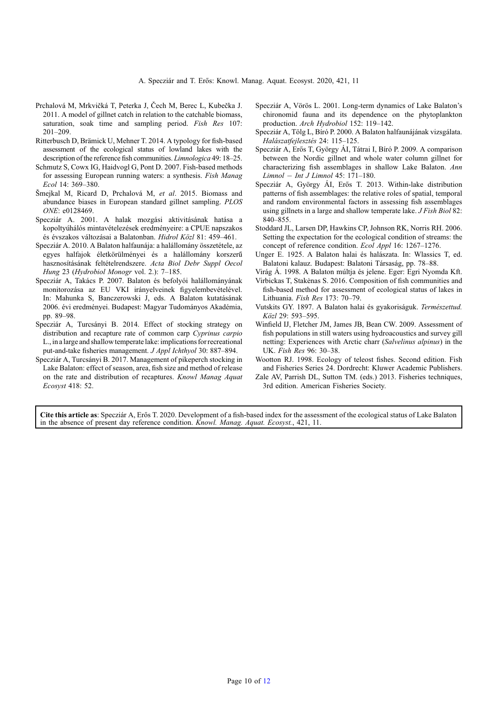- <span id="page-9-0"></span>Prchalová M, Mrkvičká T, Peterka J, Čech M, Berec L, Kubečka J. 2011. A model of gillnet catch in relation to the catchable biomass, saturation, soak time and sampling period. Fish Res 107: 201–209.
- Ritterbusch D, Brämick U, Mehner T. 2014. A typology for fish-based assessment of the ecological status of lowland lakes with the description of the reference fish communities. Limnologica 49: 18–25.
- Schmutz S, Cowx IG, Haidvogl G, Pont D. 2007. Fish-based methods for assessing European running waters: a synthesis. Fish Manag Ecol 14: 369–380.
- Šmejkal M, Ricard D, Prchalová M, et al. 2015. Biomass and abundance biases in European standard gillnet sampling. PLOS ONE: e0128469.
- Specziár A. 2001. A halak mozgási aktivitásának hatása a kopoltyuhálós mintavételezések eredményeire: a CPUE napszakos és évszakos változásai a Balatonban. Hidrol Közl 81: 459–461.
- Specziár A. 2010. A Balaton halfaunája: a halállomány összetétele, az egyes halfajok életkörülményei és a halállomány korszerű hasznosításának feltételrendszere. Acta Biol Debr Suppl Oecol Hung 23 (Hydrobiol Monogr vol. 2.): 7–185.
- Specziár A, Takács P. 2007. Balaton és befolyói halállományának monitorozása az EU VKI irányelveinek figyelembevételével. In: Mahunka S, Banczerowski J, eds. A Balaton kutatásának 2006. évi eredményei. Budapest: Magyar Tudományos Akadémia, pp. 89–98.
- Specziár A, Turcsányi B. 2014. Effect of stocking strategy on distribution and recapture rate of common carp Cyprinus carpio L., in a large and shallow temperate lake: implications for recreational put-and-take fisheries management. J Appl Ichthyol 30: 887–894.
- Specziár A, Turcsányi B. 2017. Management of pikeperch stocking in Lake Balaton: effect of season, area, fish size and method of release on the rate and distribution of recaptures. Knowl Manag Aquat Ecosyst 418: 52.
- Specziár A, Vörös L. 2001. Long-term dynamics of Lake Balaton's chironomid fauna and its dependence on the phytoplankton production. Arch Hydrobiol 152: 119–142.
- Specziár A, Tölg L, Bíró P. 2000. A Balaton halfaunájának vizsgálata. Halászatfejlesztés 24: 115–125.
- Specziár A, Erős T, György ÁI, Tátrai I, Bíró P. 2009. A comparison between the Nordic gillnet and whole water column gillnet for characterizing fish assemblages in shallow Lake Balaton. Ann  $Limnol - Int J Limnol 45: 171–180.$
- Specziár A, György ÁI, Erős T. 2013. Within-lake distribution patterns of fish assemblages: the relative roles of spatial, temporal and random environmental factors in assessing fish assemblages using gillnets in a large and shallow temperate lake. J Fish Biol 82: 840–855.
- Stoddard JL, Larsen DP, Hawkins CP, Johnson RK, Norris RH. 2006. Setting the expectation for the ecological condition of streams: the concept of reference condition. Ecol Appl 16: 1267–1276.
- Unger E. 1925. A Balaton halai és halászata. In: Wlassics T, ed. Balatoni kalauz. Budapest: Balatoni Társaság, pp. 78–88.
- Virág Á. 1998. A Balaton multja és jelene. Eger: Egri Nyomda Kft. Virbickas T, Stakėnas S. 2016. Composition of fish communities and fish-based method for assessment of ecological status of lakes in Lithuania. Fish Res 173: 70–79.
- Vutskits GY. 1897. A Balaton halai és gyakoriságuk. Természettud. Közl 29: 593–595.
- Winfield IJ, Fletcher JM, James JB, Bean CW. 2009. Assessment of fish populations in still waters using hydroacoustics and survey gill netting: Experiences with Arctic charr (Salvelinus alpinus) in the UK. Fish Res 96: 30–38.
- Wootton RJ. 1998. Ecology of teleost fishes. Second edition. Fish and Fisheries Series 24. Dordrecht: Kluwer Academic Publishers.
- Zale AV, Parrish DL, Sutton TM. (eds.) 2013. Fisheries techniques, 3rd edition. American Fisheries Society.

Cite this article as: Specziár A, Erős T. 2020. Development of a fish-based index for the assessment of the ecological status of Lake Balaton in the absence of present day reference condition. Knowl. Manag. Aquat. Ecosyst., 421, 11.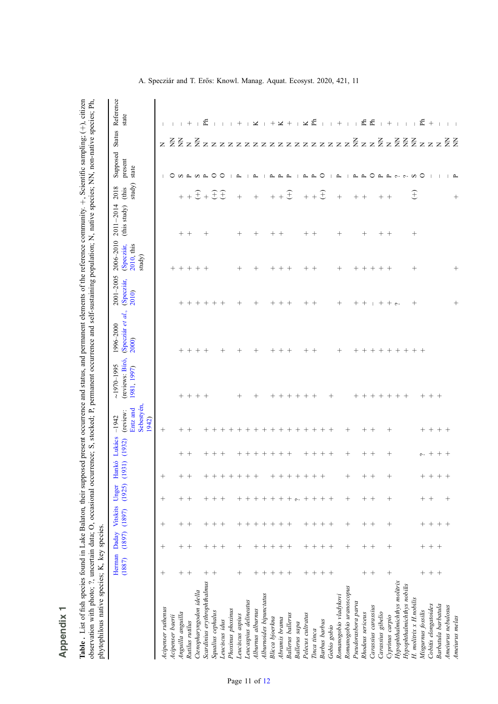| minity $\pm$ Scientific sampling: $( \pm )$ citizen<br>j<br>.<br>.<br>.<br>.<br>A sheman nan buta butan h<br>Š<br>nean.<br>$l$ alatan :<br>į<br>$\frac{1}{2}$ and $\frac{1}{2}$ and $\frac{1}{2}$ and $\frac{1}{2}$ | j<br>N non-native speci<br>֧֢֞֜֜֜֜֜֜֜<br>í<br>Z .cc.<br>$\overline{\mathbf{r}}$ nature<br>$\sim$ $\sim$ $\sim$ $\sim$ $\sim$ $\sim$ $\sim$ $\sim$<br>of self-sustaining no<br>-<br>-<br>-<br>-<br>-<br>when you're the<br>;<br>0<br>0<br>0<br>1<br>1<br>$\frac{1}{2}$<br>. 00 mm Director<br>くへへへいい<br>)<br>1<br>- C+C+C+C+C+C+ | i            |
|---------------------------------------------------------------------------------------------------------------------------------------------------------------------------------------------------------------------|---------------------------------------------------------------------------------------------------------------------------------------------------------------------------------------------------------------------------------------------------------------------------------------------------------------------------------|--------------|
|                                                                                                                                                                                                                     |                                                                                                                                                                                                                                                                                                                                 |              |
| Let of fish sp                                                                                                                                                                                                      | $\cdots$                                                                                                                                                                                                                                                                                                                        | י ייניט      |
| ł                                                                                                                                                                                                                   | $\overline{1}$                                                                                                                                                                                                                                                                                                                  | $-17.7$<br>١ |

<span id="page-10-0"></span>

| phytophilous native species; K, key species. |                    |                    |                           |                                  |                                  |                  |                                                       |                                                  |                                         |                                  |                                                 |                               |                                       |                              |                                  |                           |
|----------------------------------------------|--------------------|--------------------|---------------------------|----------------------------------|----------------------------------|------------------|-------------------------------------------------------|--------------------------------------------------|-----------------------------------------|----------------------------------|-------------------------------------------------|-------------------------------|---------------------------------------|------------------------------|----------------------------------|---------------------------|
|                                              | Herman<br>(1887)   | (1897)<br>Daday    | <b>Vitskits</b><br>(1897) | (1925)<br>Unger                  | (1931)<br>Hankó                  | Lukács<br>(1932) | Sebestyén<br>Entz and<br>(review:<br>$-1942$<br>1942) | (reviews: Bíró,<br>$~1970 - 1995$<br>1981, 1997) | (Specziár et al.,<br>1996-2000<br>2000) | 2001-2005<br>(Specziár,<br>2010) | 2006-2010<br>(Specziár,<br>2010, this<br>study) | $2011 - 2014$<br>(this study) | study)<br>2018<br>(this               | Supposed<br>present<br>state | <b>Status</b>                    | Reference<br>state        |
| Acipenser ruthenus                           | $^{+}$             | $^{+}$             | $^{+}$                    | $^+$                             | $^+$                             |                  | $^{+}$                                                |                                                  |                                         |                                  |                                                 |                               |                                       |                              | $\mathsf{z}$                     |                           |
| Acipenser baerii                             |                    |                    |                           |                                  |                                  |                  |                                                       |                                                  |                                         |                                  | $^+$                                            |                               |                                       | O                            |                                  |                           |
| Anguilla anguilla                            |                    | $^{+}$             | $^+$                      | $\hspace{0.1mm} +\hspace{0.1mm}$ | $\hspace{0.1mm} +$               |                  | $^+$                                                  |                                                  | $^{+}$                                  | $^+$                             | $^{+}$                                          | $^{+}$                        |                                       |                              |                                  |                           |
| Rutilus rutilus                              | $+$ +              | $^{+}$             | $^{+}$                    | $^{+}$                           | $\,$ $\,$                        | $^{+}$           | $^{+}$                                                |                                                  | $^{+}$                                  | $^{+}$                           | $^{+}$                                          | $+$                           |                                       |                              |                                  | $^+$                      |
| Ctenopharyngodon idella                      |                    |                    |                           |                                  |                                  |                  |                                                       | $+ + + +$                                        | $^{+}$                                  | $^{+}$                           | $^{+}$                                          |                               | $+ + \hat{\pm} + \hat{\pm} \hat{\pm}$ | M A M A                      |                                  |                           |
| Scardinius erythrophthalmus                  |                    | $^+$               | $\hspace{0.1mm} +$        | $\hspace{0.1mm} +\hspace{0.1mm}$ | $^+$                             |                  | $^+$                                                  |                                                  | $^{+}$                                  | $^{+}$                           | $^{+}$                                          | $^{+}$                        |                                       |                              |                                  | 된                         |
| Squalius cephalus                            | $^{+}$             | $^{+}$             |                           | $^+$                             | $^+$                             |                  | $^{+}$                                                |                                                  |                                         | $^{+}$                           |                                                 |                               |                                       | $\circ$                      |                                  | $\overline{\phantom{a}}$  |
| Leuciscus idus                               |                    | $^{+}$             | $^{+}$                    |                                  | $^+$                             |                  | $^{+}$                                                |                                                  | $\hspace{0.1mm} +$                      | $^+$                             |                                                 |                               |                                       | $\circ$                      |                                  |                           |
| Phoxinus phoxinus                            |                    |                    |                           |                                  | $^{+}$                           |                  | $^{+}$                                                |                                                  |                                         |                                  |                                                 |                               |                                       |                              |                                  | $\overline{\phantom{a}}$  |
| Leuciscus aspius                             | $^+$               | $^{+}$             | $^+$                      |                                  | $^+$                             |                  | $^{+}$                                                | $^{+}$                                           | $^+$                                    | $^+$                             | $^+$                                            | $^+$                          | $^{+}$                                | ≏                            |                                  | $^{+}$                    |
| Leucaspius delineatus                        |                    |                    |                           |                                  | $^+$                             |                  | $^{+}$                                                |                                                  |                                         |                                  |                                                 |                               |                                       |                              |                                  | $\mathbf{I}$              |
| Alburnus alburnus                            | $\hspace{0.1mm} +$ |                    | $^{+}$                    |                                  | $^{+}$                           |                  | $+$                                                   | $^{+}$                                           | $^+$                                    | $^+$                             | $^+$                                            | $^{+}$                        | $^{+}$                                | ≏                            |                                  | K                         |
| Alburnoides bipunctatus                      | $^{+}$             |                    | $^{+}$                    |                                  |                                  |                  |                                                       |                                                  |                                         |                                  |                                                 |                               |                                       |                              |                                  | $\overline{\phantom{0}}$  |
| Blicca bjoerkna                              | $^{+}$             |                    |                           |                                  | $^+$                             |                  | $+$ +                                                 | $^+$                                             | $^+$                                    | $\hspace{0.1mm} +$               | $\hspace{0.1mm} +$                              | $^{+}$                        | $^{+}$                                | ≏                            |                                  | $^{+}$                    |
| Abranis brama                                | $^{+}$             | $^+$               | $^{+}$                    | $^+$                             | $^{+}$                           |                  | $+$                                                   | $^{+}$                                           | $^{+}$                                  | $^+$                             | $^+$                                            | $+$                           | $+$                                   |                              |                                  | $\times$ +                |
| <b>Ballerus</b> ballerus                     | $^{+}$             | $^{+}$             | $^{+}$                    | $^+$                             | $^{+}$                           |                  | $^{+}$                                                | $^{+}$                                           | $^{+}$                                  | $^{+}$                           | $^+$                                            |                               | Ŧ                                     | $\sim$                       |                                  |                           |
| Ballerus sapa                                |                    |                    |                           | $\sim$                           | $^{+}$                           |                  | $^{+}$                                                | $+$                                              |                                         |                                  |                                                 |                               |                                       |                              |                                  | $\mathbf{L}$              |
| Pelecus cultratus                            | $^+$               |                    |                           | $\hspace{0.1mm} +$               | $^{+}$                           |                  | $^{+}$                                                | $+$ $+$                                          | $^+$                                    | $^+$                             | $^+$                                            | $^+$                          | $+$                                   | ≏                            |                                  | × ঘূ                      |
| Tinca tinca                                  | $^{+}$             |                    |                           | $^+$                             | $^{+}$                           |                  | $^{+}$                                                |                                                  | $^{+}$                                  | $^{+}$                           | $^{+}$                                          | $^{+}$                        | $+$                                   | $\sim$                       |                                  |                           |
| <b>Barbus</b> barbus                         | $^{+}$             | $^{+}$             | $^{+}$                    |                                  | $^{+}$                           |                  | $^{+}$                                                |                                                  |                                         |                                  |                                                 |                               | $\widehat{\pm}$                       | $\circ$                      |                                  | $\mathbf{I}$              |
| Gobio gobio                                  | $^{+}$             | $^{+}$             | $^{+}$                    | $^{+}$                           |                                  |                  | $^{+}$                                                | $^+$                                             |                                         |                                  |                                                 |                               |                                       |                              |                                  |                           |
| Romanogobio vladykovi                        |                    |                    |                           |                                  |                                  |                  |                                                       |                                                  | $^+$                                    | $^+$                             | $\hspace{0.1mm} +\hspace{0.1mm}$                | $^{+}$                        | $^{+}$                                | ≏                            |                                  | $+$                       |
| Romanogobio uranoscopus                      |                    | $^{+}$             | $^{+}$                    | $^+$                             | $^+$                             | $^+$             | $^+$                                                  |                                                  |                                         |                                  |                                                 |                               |                                       |                              |                                  | $\blacksquare$            |
| Pseudorasbora parva                          |                    |                    |                           |                                  |                                  |                  |                                                       | $^+$                                             | $^+$                                    | $\hspace{0.1mm} +\hspace{0.1mm}$ | $^+$                                            |                               | $\hspace{0.1mm} +$                    | ≏                            |                                  | $\blacksquare$            |
| Rhodeus sericeus                             | $^+$               | $^+$               | $^{+}$                    | $\hspace{0.1mm} +\hspace{0.1mm}$ | $\hspace{0.1mm} +\hspace{0.1mm}$ | $^+$             | $\hspace{0.1mm} +$                                    | $^{+}$                                           | $^{+}$                                  | $^{+}$                           |                                                 | $\hspace{0.1mm} +$            | $^{+}$                                | $\sim$                       |                                  | E E                       |
| Carassius carassius                          | $+$                | $^{+}$             | $^{+}$                    | $^{+}$                           | $^{+}$                           | $^{+}$           | $^{+}$                                                | $^{+}$                                           | $+$                                     |                                  | $^{+}$                                          |                               |                                       | $\circ$                      |                                  |                           |
| Carassius gibelio                            |                    |                    |                           |                                  |                                  |                  |                                                       | $^{+}$                                           | $++$                                    | $^+$                             | $^+$                                            | $^{+}$                        | $^{+}$                                | $\mathbf{r}$                 |                                  | $\mathbb{L}$              |
| Cyprinus carpio                              | $\boldsymbol{+}$   | $\hspace{0.1mm} +$ | $\hspace{0.1mm} +$        | $^+$                             | $^+$                             | $^+$             | $^+$                                                  | $+$                                              |                                         | $+$ $\sim$                       | $^{+}$                                          | $^{+}$                        | $+$                                   | $\overline{\phantom{a}}$     |                                  | $^{+}$                    |
| Hypophthalmichthys molitrix                  |                    |                    |                           |                                  |                                  |                  |                                                       | $+$                                              | $+$                                     |                                  |                                                 |                               |                                       | $\sim$                       |                                  | $\blacksquare$            |
| Hypophthalmichthys nobilis                   |                    |                    |                           |                                  |                                  |                  |                                                       | $^{+}$                                           | $^{+}$                                  |                                  |                                                 |                               |                                       | $\sim$                       | 22232222222222222222222222222222 | $\mathbf{I}$              |
| H. molitrix x H.nobilis                      |                    |                    |                           |                                  |                                  |                  |                                                       |                                                  | $+ +$                                   | $^+$                             | $^+$                                            | $^{+}$                        | E                                     | $\boldsymbol{\infty}$        |                                  | $\blacksquare$            |
| Misgurnus fossilis                           | $^{+}$             | $^+$               |                           | $^+$                             | $^+$                             |                  | $+ + +$                                               | $^+$                                             |                                         |                                  |                                                 |                               |                                       | $\circ$                      |                                  | Ę                         |
| Cobitis elongatoides                         | $+$ +              | $^{+}$             |                           | $^{+}$                           | $^+$                             | $^+$             |                                                       | $+$ +                                            |                                         |                                  |                                                 |                               |                                       |                              |                                  | $^{+}$                    |
| Barbatula barbatula                          |                    | $^{+}$             |                           |                                  | $^{+}$<br>$^{+}$                 | $^{+}$<br>$^{+}$ | $^{+}$                                                |                                                  |                                         |                                  |                                                 |                               |                                       |                              |                                  |                           |
| Ameiurus nebulosus<br>Ameiurus melas         |                    |                    |                           | $^+$                             |                                  |                  |                                                       |                                                  |                                         | $^{+}$                           | $^{+}$                                          |                               | $^{+}$                                | $\sim$                       | W N                              | $\mathbf{1}$ $\mathbf{1}$ |
|                                              |                    |                    |                           |                                  |                                  |                  |                                                       |                                                  |                                         |                                  |                                                 |                               |                                       |                              |                                  |                           |

A. Specziár and T. Erős: Knowl. Manag. Aquat. Ecosyst. 2020, 421, 11